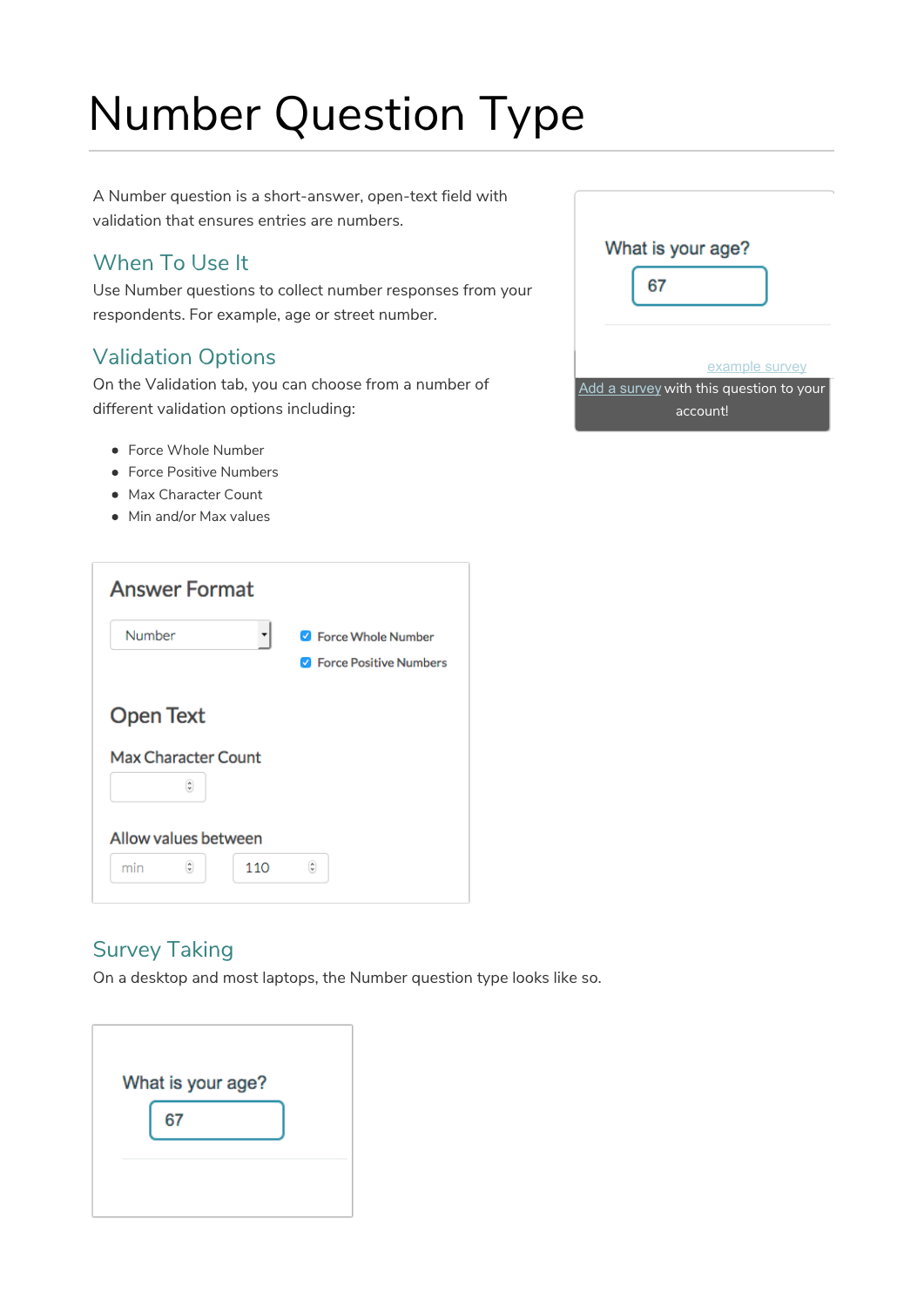# Number Question Type

A Number question is a short-answer, open-text field with validation that ensures entries are numbers.

# When To Use It

Use Number questions to collect number responses from your respondents. For example, age or street number.

# Validation Options

On the Validation tab, you can choose from a number of different validation options including:

- Force Whole Number
- **•** Force Positive Numbers
- Max Character Count
- Min and/or Max values



# Survey Taking

On a desktop and most laptops, the Number question type looks like so.

| What is your age? |  |
|-------------------|--|
| 67                |  |
|                   |  |
|                   |  |

| What is your age?                                                     |
|-----------------------------------------------------------------------|
| example survey<br>Add a survey with this question to your<br>account! |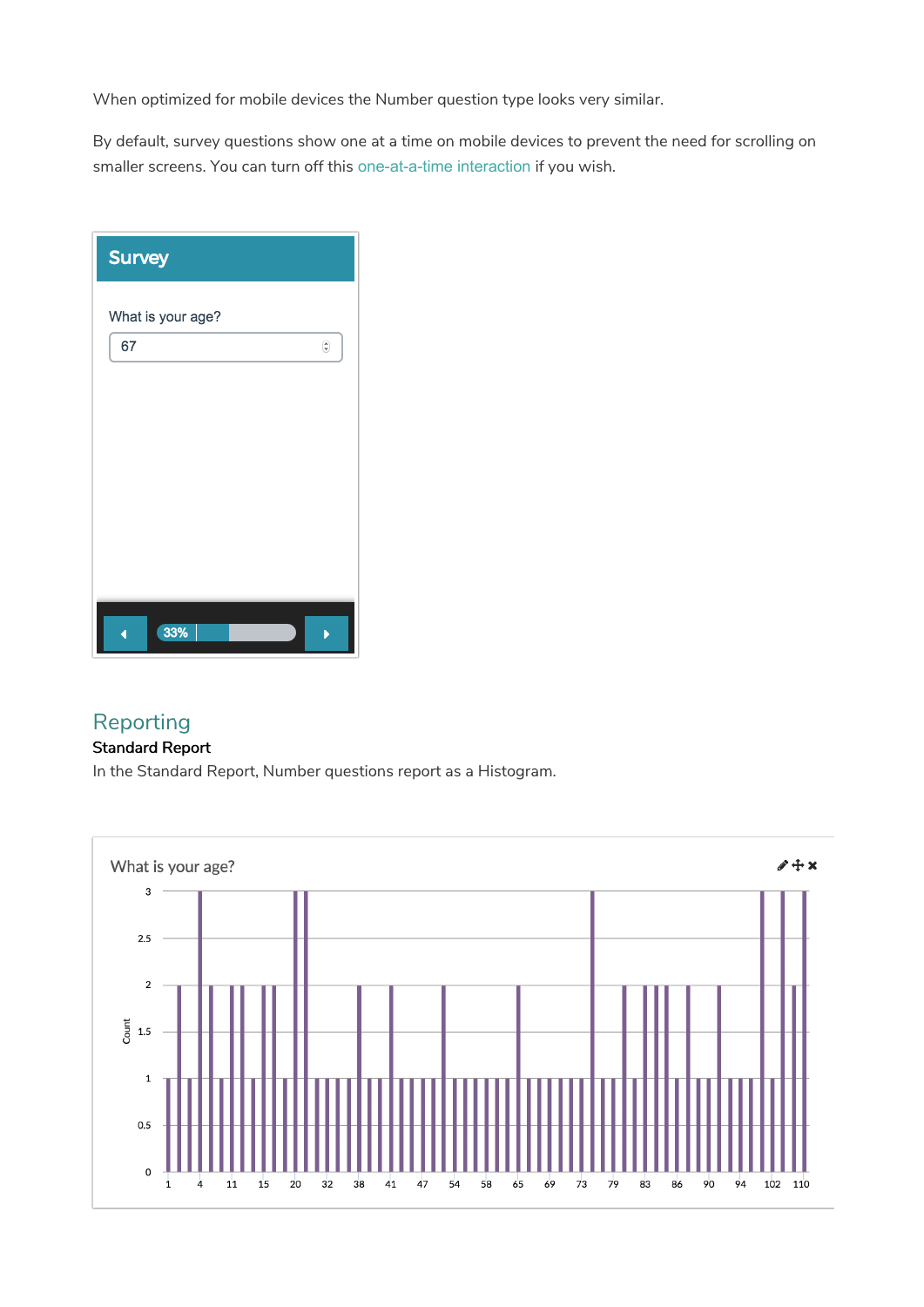When optimized for mobile devices the Number question type looks very similar.

By default, survey questions show one at a time on mobile devices to prevent the need for scrolling on smaller screens. You can turn off this one-at-a-time interaction if you wish.

| <b>Survey</b>     |                               |
|-------------------|-------------------------------|
| What is your age? |                               |
| 67                | $\overset{\circ}{\mathbf{v}}$ |
|                   |                               |
|                   |                               |
|                   |                               |
|                   |                               |
|                   |                               |
|                   |                               |
| 33%               |                               |

## Reporting

## Standard Report

In the Standard Report, Number questions report as a Histogram.

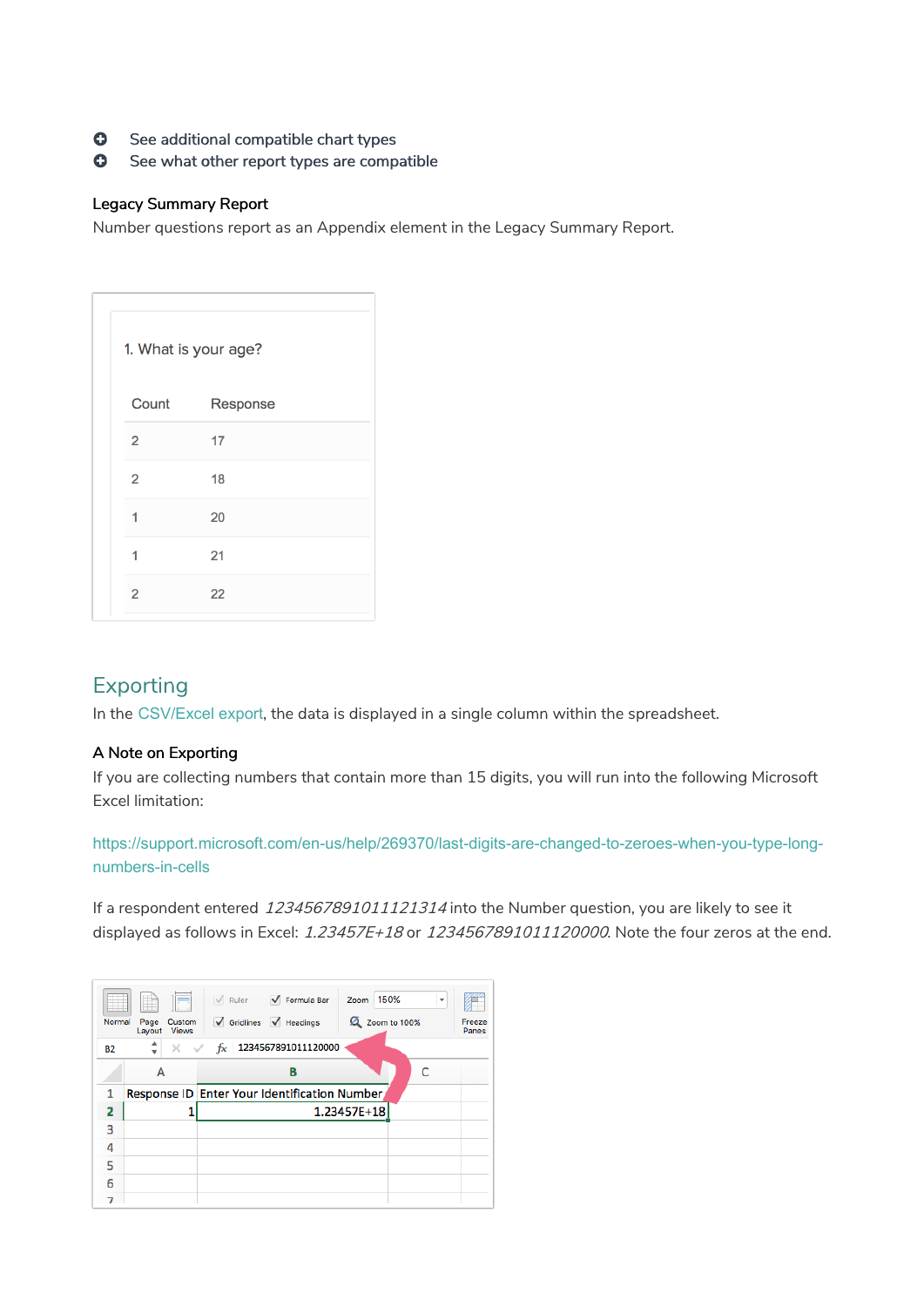- **G** See additional compatible chart types
- **G** See what other report types are compatible

#### Legacy Summary Report

Number questions report as an Appendix element in the Legacy Summary Report.

|                | 1. What is your age? |  |
|----------------|----------------------|--|
| Count          | Response             |  |
| $\overline{2}$ | 17                   |  |
| $\overline{2}$ | 18                   |  |
| 1              | 20                   |  |
| 1              | 21                   |  |
| $\overline{2}$ | 22                   |  |

# Exporting

In the CSV/Excel export, the data is displayed in a single column within the spreadsheet.

### A Note on Exporting

If you are collecting numbers that contain more than 15 digits, you will run into the following Microsoft Excel limitation:

https://support.microsoft.com/en-us/help/269370/last-digits-are-changed-to-zeroes-when-you-type-longnumbers-in-cells

If a respondent entered 1234567891011121314 into the Number question, you are likely to see it displayed as follows in Excel: 1.23457E+18 or 1234567891011120000. Note the four zeros at the end.

| Normal    | l F<br>Custom<br>Page<br><b>Views</b><br>Layout | Ruler <b>V</b> Formula Bar<br>150%<br>Zoom<br>۰<br>$\sqrt{\phantom{a}}$ Gridlines $\sqrt{\phantom{a}}$ Headings<br>Zoom to 100%<br>Freeze<br>Panes |
|-----------|-------------------------------------------------|----------------------------------------------------------------------------------------------------------------------------------------------------|
| <b>B2</b> | ┻<br>$\times$ $\hspace{0.1cm}$ $\hspace{0.1cm}$ | $f_X$ 1234567891011120000                                                                                                                          |
|           | А                                               | B                                                                                                                                                  |
| 1         |                                                 | Response ID Enter Your Identification Number                                                                                                       |
| 2         |                                                 | 1.23457E+18                                                                                                                                        |
| 3         |                                                 |                                                                                                                                                    |
| 4         |                                                 |                                                                                                                                                    |
| 5         |                                                 |                                                                                                                                                    |
| 6         |                                                 |                                                                                                                                                    |
|           |                                                 |                                                                                                                                                    |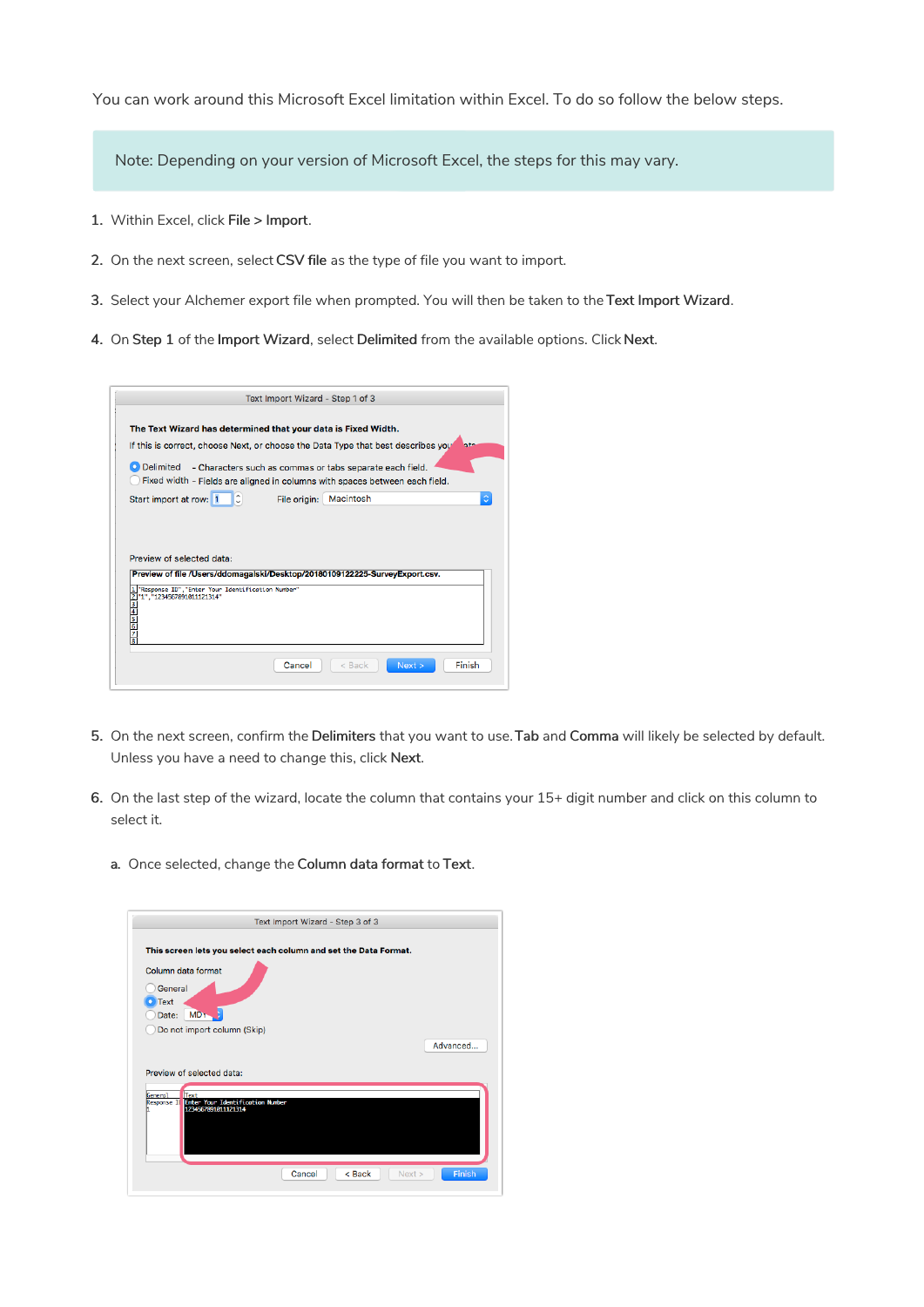You can work around this Microsoft Excel limitation within Excel. To do so follow the below steps.

Note: Depending on your version of Microsoft Excel, the steps for this may vary.

- 1. Within Excel, click File > Import.
- 2. On the next screen, select CSV file as the type of file you want to import.
- 3. Select your Alchemer export file when prompted. You will then be taken to the Text Import Wizard.
- 4. On Step 1 of the Import Wizard, select Delimited from the available options. Click Next.

| The Text Wizard has determined that your data is Fixed Width.                                                                                                                                                 |                |              |                                                          |     |
|---------------------------------------------------------------------------------------------------------------------------------------------------------------------------------------------------------------|----------------|--------------|----------------------------------------------------------|-----|
| If this is correct, choose Next, or choose the Data Type that best describes you                                                                                                                              |                |              |                                                          | ate |
| <b>O</b> Delimited                                                                                                                                                                                            |                |              | - Characters such as commas or tabs separate each field. |     |
| Fixed width - Fields are aligned in columns with spaces between each field.                                                                                                                                   |                |              |                                                          |     |
| Start import at row: 1                                                                                                                                                                                        | $ \mathbb{C} $ | File origin: | Macintosh                                                | Ö.  |
|                                                                                                                                                                                                               |                |              |                                                          |     |
|                                                                                                                                                                                                               |                |              |                                                          |     |
|                                                                                                                                                                                                               |                |              |                                                          |     |
|                                                                                                                                                                                                               |                |              |                                                          |     |
|                                                                                                                                                                                                               |                |              |                                                          |     |
| "Response ID", "Enter Your Identification Number"                                                                                                                                                             |                |              |                                                          |     |
|                                                                                                                                                                                                               |                |              |                                                          |     |
|                                                                                                                                                                                                               |                |              |                                                          |     |
|                                                                                                                                                                                                               |                |              |                                                          |     |
| Preview of selected data:<br>Preview of file /Users/ddomagalski/Desktop/20180109122225-SurveyExport.csv.<br>$\frac{1}{2}$ "exponse 10", Enter Tour<br>$\frac{2}{3}$<br>$\frac{1}{3}$<br>5<br>5<br>6<br>6<br>8 |                |              |                                                          |     |

- 5. On the next screen, confirm the Delimiters that you want to use. Tab and Comma will likely be selected by default. Unless you have a need to change this, click Next.
- 6. On the last step of the wizard, locate the column that contains your 15+ digit number and click on this column to select it.
	- a. Once selected, change the Column data format to Text.

|                                       | This screen lets you select each column and set the Data Format. |          |
|---------------------------------------|------------------------------------------------------------------|----------|
| Column data format                    |                                                                  |          |
| General                               |                                                                  |          |
| • Text                                |                                                                  |          |
| MD <sub>T</sub><br>Date:              |                                                                  |          |
| Do not import column (Skip)           |                                                                  |          |
|                                       |                                                                  |          |
|                                       |                                                                  | Advanced |
|                                       |                                                                  |          |
| Preview of selected data:             |                                                                  |          |
|                                       |                                                                  |          |
| Text<br>General<br><b>Response II</b> | <b>Enter Your Identification Number</b>                          |          |
| 1234567891011121314                   |                                                                  |          |
|                                       |                                                                  |          |
|                                       |                                                                  |          |